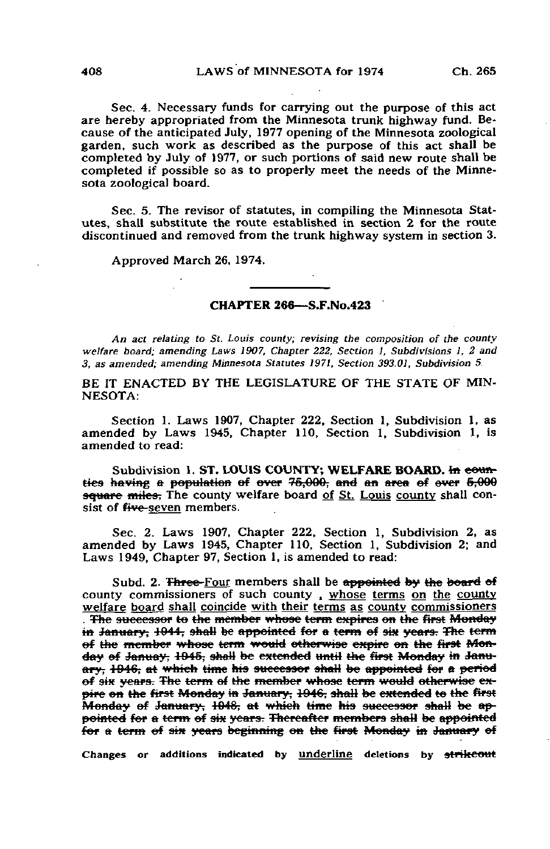Sec. 4. Necessary funds for carrying out the purpose of this act are hereby appropriated from the Minnesota trunk highway fund. Because of the anticipated July, 1977 opening of the Minnesota zoological garden, such work as described as the purpose of this act shall be completed by July of 1977, or such portions of said new route shall be completed if possible so as to properly meet the needs of the Minnesota zoological board.

Sec. 5. The revisor of statutes, in compiling the Minnesota Statutes, shall substitute the route established in section 2 for the route discontinued and removed from the trunk highway system in section 3.

Approved March 26, 1974.

## CHAPTER 266—S.F.No.423

An act relating to St. Louis county; revising the composition of the county welfare board; amending Laws 1907, Chapter 222, Section I, Subdivisions 1, 2 and 3, as amended; amending Minnesota Statutes 1971, Section 393.01, Subdivision 5.

BE IT ENACTED BY THE LEGISLATURE OF THE STATE OF MIN-NESOTA:

Section 1. Laws 1907, Chapter 222, Section 1, Subdivision 1, as amended by Laws 1945, Chapter 110, Section 1, Subdivision 1, is amended to read:

Subdivision 1. ST. LOUIS COUNTY; WELFARE BOARD, In eounties having a population of over 75,000, and an area of over 5,000 square miles. The county welfare board of St. Louis county shall consist of five-seven members.

Sec. 2. Laws 1907, Chapter 222, Section 1, Subdivision 2, as amended by Laws 1945, Chapter 110, Section 1, Subdivision 2; and Laws 1949, Chapter 97, Section 1, is amended to read:

Subd. 2. Three-Four members shall be appointed by the board of county commissioners of such county , whose terms on the county welfare board shall coincide with their terms as county commissioners . The successor to the member whose term expires on the first Monday in January; 1944, shall be appointed for a term of six years. The term of the member whose term would otherwise expire on the first Monday of Januay, 1945, shall be extended until the first Monday in January, 1946, at which time his successor shall be appointed for a period of six years. The term of the member whose term would otherwise expire on the first Monday in January, 1946, shall be extended to the first Monday of January, 1948, at which time his successor shall be appointed for a term of six years. Thereafter members shall be appointed for a term of six years beginning on the first Monday in January of

Changes or additions indicated by underline deletions by strikeout